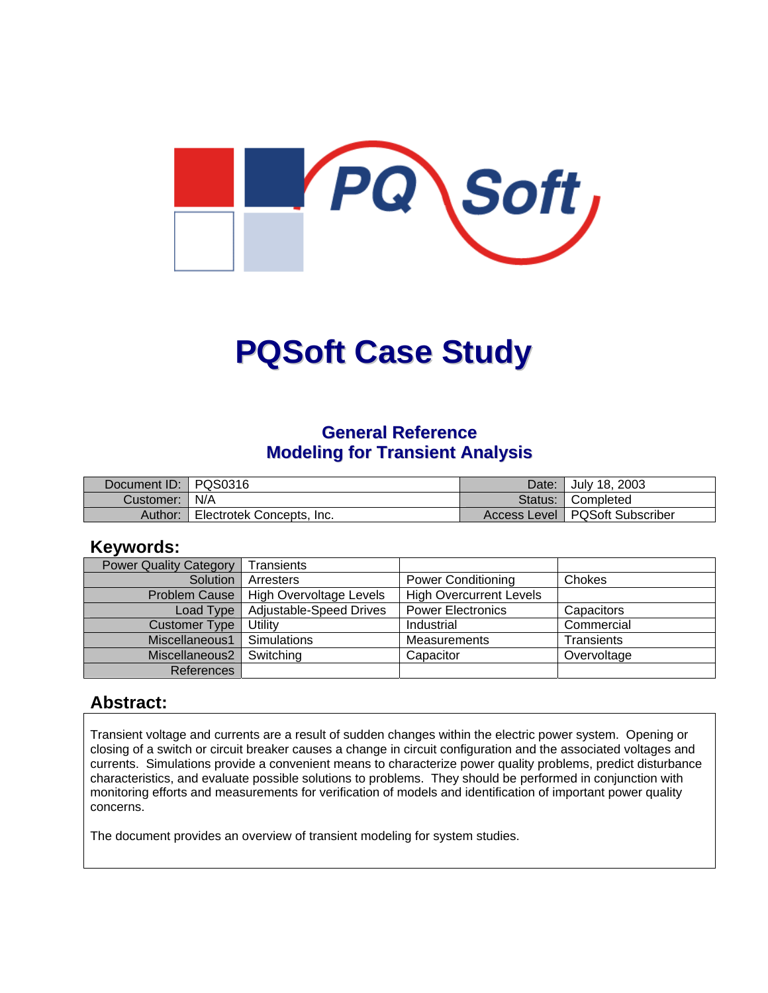

# **PQSoft Case Study**

### **General Reference Modeling for Transient Analysis**

| Document ID: PQS0316 |                           | Date: I | Uuly 18, 2003                    |
|----------------------|---------------------------|---------|----------------------------------|
| Customer:   N/A      |                           |         | Status: Completed                |
| Author:              | Electrotek Concepts, Inc. |         | Access Level   PQSoft Subscriber |

#### **Keywords:**

| <b>Power Quality Category</b> | Transients                     |                                |                   |
|-------------------------------|--------------------------------|--------------------------------|-------------------|
| Solution                      | Arresters                      | <b>Power Conditioning</b>      | Chokes            |
| <b>Problem Cause</b>          | <b>High Overvoltage Levels</b> | <b>High Overcurrent Levels</b> |                   |
| Load Type                     | Adjustable-Speed Drives        | <b>Power Electronics</b>       | Capacitors        |
| <b>Customer Type</b>          | Utility                        | Industrial                     | Commercial        |
| Miscellaneous1                | <b>Simulations</b>             | Measurements                   | <b>Transients</b> |
| Miscellaneous2                | Switching                      | Capacitor                      | Overvoltage       |
| References                    |                                |                                |                   |

### **Abstract:**

Transient voltage and currents are a result of sudden changes within the electric power system. Opening or closing of a switch or circuit breaker causes a change in circuit configuration and the associated voltages and currents. Simulations provide a convenient means to characterize power quality problems, predict disturbance characteristics, and evaluate possible solutions to problems. They should be performed in conjunction with monitoring efforts and measurements for verification of models and identification of important power quality concerns.

The document provides an overview of transient modeling for system studies.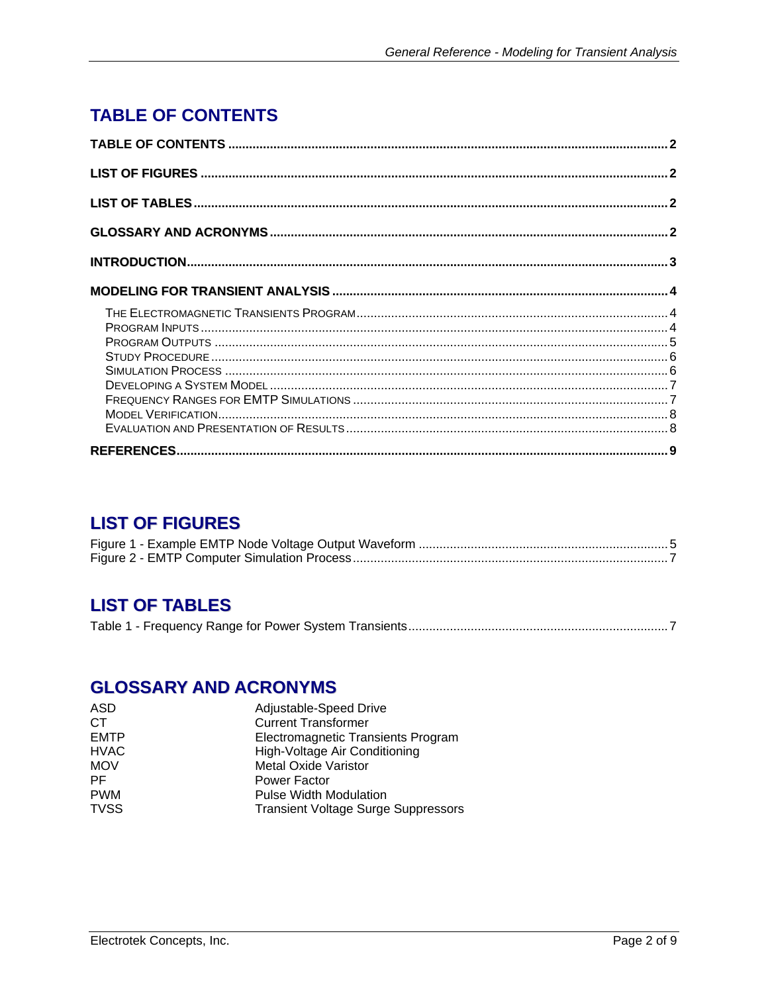# <span id="page-1-0"></span>**TABLE OF CONTENTS**

### **LIST OF FIGURES**

# **LIST OF TABLES**

|--|--|--|--|--|

### **GLOSSARY AND ACRONYMS**

| ASD         | Adjustable-Speed Drive                     |
|-------------|--------------------------------------------|
| СT          | <b>Current Transformer</b>                 |
| <b>EMTP</b> | Electromagnetic Transients Program         |
| <b>HVAC</b> | High-Voltage Air Conditioning              |
| <b>MOV</b>  | <b>Metal Oxide Varistor</b>                |
| PF.         | Power Factor                               |
| <b>PWM</b>  | <b>Pulse Width Modulation</b>              |
| TVSS        | <b>Transient Voltage Surge Suppressors</b> |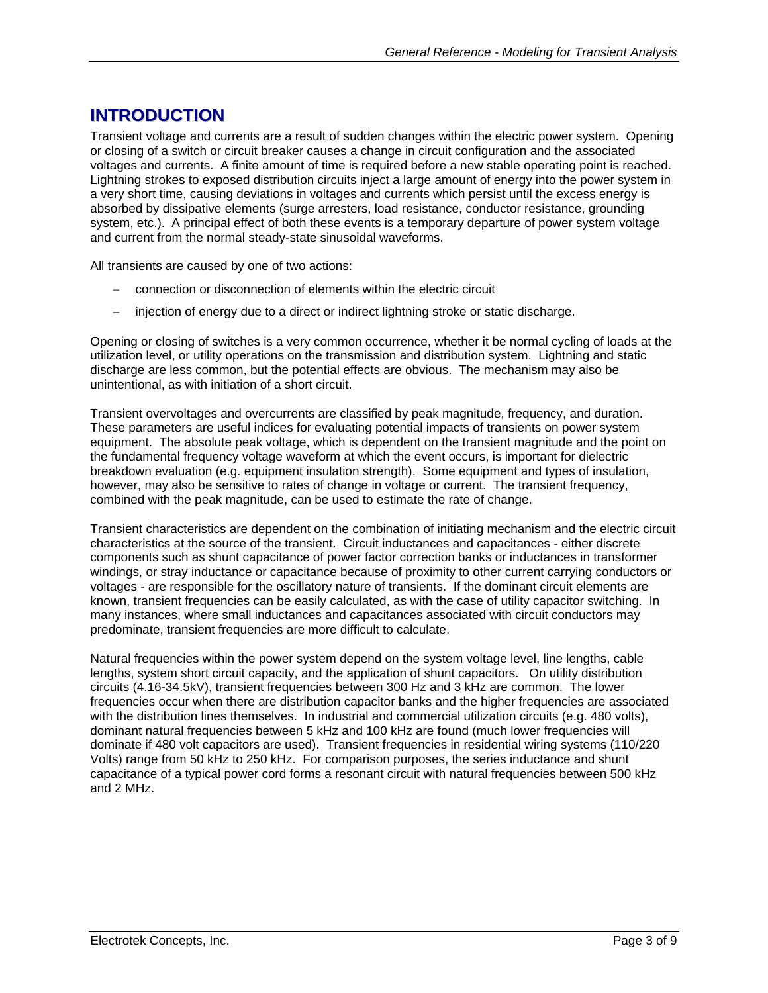## <span id="page-2-0"></span>**INTRODUCTION**

Transient voltage and currents are a result of sudden changes within the electric power system. Opening or closing of a switch or circuit breaker causes a change in circuit configuration and the associated voltages and currents. A finite amount of time is required before a new stable operating point is reached. Lightning strokes to exposed distribution circuits inject a large amount of energy into the power system in a very short time, causing deviations in voltages and currents which persist until the excess energy is absorbed by dissipative elements (surge arresters, load resistance, conductor resistance, grounding system, etc.). A principal effect of both these events is a temporary departure of power system voltage and current from the normal steady-state sinusoidal waveforms.

All transients are caused by one of two actions:

- − connection or disconnection of elements within the electric circuit
- injection of energy due to a direct or indirect lightning stroke or static discharge.

Opening or closing of switches is a very common occurrence, whether it be normal cycling of loads at the utilization level, or utility operations on the transmission and distribution system. Lightning and static discharge are less common, but the potential effects are obvious. The mechanism may also be unintentional, as with initiation of a short circuit.

Transient overvoltages and overcurrents are classified by peak magnitude, frequency, and duration. These parameters are useful indices for evaluating potential impacts of transients on power system equipment. The absolute peak voltage, which is dependent on the transient magnitude and the point on the fundamental frequency voltage waveform at which the event occurs, is important for dielectric breakdown evaluation (e.g. equipment insulation strength). Some equipment and types of insulation, however, may also be sensitive to rates of change in voltage or current. The transient frequency, combined with the peak magnitude, can be used to estimate the rate of change.

Transient characteristics are dependent on the combination of initiating mechanism and the electric circuit characteristics at the source of the transient. Circuit inductances and capacitances - either discrete components such as shunt capacitance of power factor correction banks or inductances in transformer windings, or stray inductance or capacitance because of proximity to other current carrying conductors or voltages - are responsible for the oscillatory nature of transients. If the dominant circuit elements are known, transient frequencies can be easily calculated, as with the case of utility capacitor switching. In many instances, where small inductances and capacitances associated with circuit conductors may predominate, transient frequencies are more difficult to calculate.

Natural frequencies within the power system depend on the system voltage level, line lengths, cable lengths, system short circuit capacity, and the application of shunt capacitors. On utility distribution circuits (4.16-34.5kV), transient frequencies between 300 Hz and 3 kHz are common. The lower frequencies occur when there are distribution capacitor banks and the higher frequencies are associated with the distribution lines themselves. In industrial and commercial utilization circuits (e.g. 480 volts), dominant natural frequencies between 5 kHz and 100 kHz are found (much lower frequencies will dominate if 480 volt capacitors are used). Transient frequencies in residential wiring systems (110/220 Volts) range from 50 kHz to 250 kHz. For comparison purposes, the series inductance and shunt capacitance of a typical power cord forms a resonant circuit with natural frequencies between 500 kHz and 2 MHz.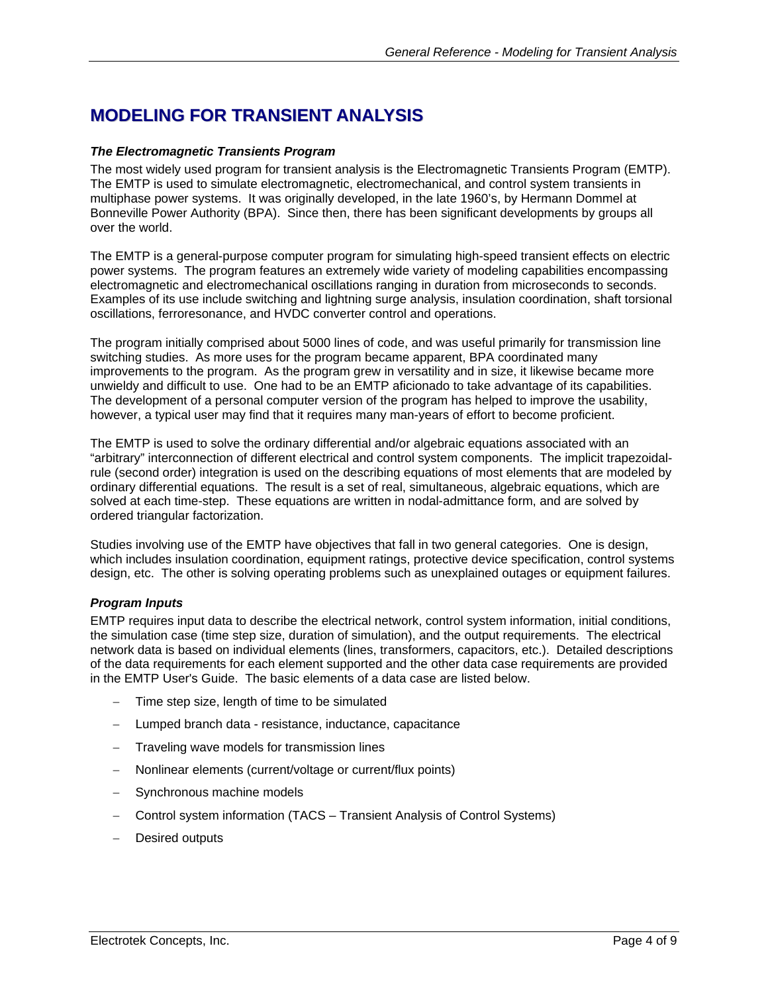# <span id="page-3-0"></span>**MODELING FOR TRANSIENT ANALYSIS**

#### *The Electromagnetic Transients Program*

The most widely used program for transient analysis is the Electromagnetic Transients Program (EMTP). The EMTP is used to simulate electromagnetic, electromechanical, and control system transients in multiphase power systems. It was originally developed, in the late 1960's, by Hermann Dommel at Bonneville Power Authority (BPA). Since then, there has been significant developments by groups all over the world.

The EMTP is a general-purpose computer program for simulating high-speed transient effects on electric power systems. The program features an extremely wide variety of modeling capabilities encompassing electromagnetic and electromechanical oscillations ranging in duration from microseconds to seconds. Examples of its use include switching and lightning surge analysis, insulation coordination, shaft torsional oscillations, ferroresonance, and HVDC converter control and operations.

The program initially comprised about 5000 lines of code, and was useful primarily for transmission line switching studies. As more uses for the program became apparent, BPA coordinated many improvements to the program. As the program grew in versatility and in size, it likewise became more unwieldy and difficult to use. One had to be an EMTP aficionado to take advantage of its capabilities. The development of a personal computer version of the program has helped to improve the usability, however, a typical user may find that it requires many man-years of effort to become proficient.

The EMTP is used to solve the ordinary differential and/or algebraic equations associated with an "arbitrary" interconnection of different electrical and control system components. The implicit trapezoidalrule (second order) integration is used on the describing equations of most elements that are modeled by ordinary differential equations. The result is a set of real, simultaneous, algebraic equations, which are solved at each time-step. These equations are written in nodal-admittance form, and are solved by ordered triangular factorization.

Studies involving use of the EMTP have objectives that fall in two general categories. One is design, which includes insulation coordination, equipment ratings, protective device specification, control systems design, etc. The other is solving operating problems such as unexplained outages or equipment failures.

#### *Program Inputs*

EMTP requires input data to describe the electrical network, control system information, initial conditions, the simulation case (time step size, duration of simulation), and the output requirements. The electrical network data is based on individual elements (lines, transformers, capacitors, etc.). Detailed descriptions of the data requirements for each element supported and the other data case requirements are provided in the EMTP User's Guide. The basic elements of a data case are listed below.

- Time step size, length of time to be simulated
- − Lumped branch data resistance, inductance, capacitance
- Traveling wave models for transmission lines
- Nonlinear elements (current/voltage or current/flux points)
- Synchronous machine models
- − Control system information (TACS Transient Analysis of Control Systems)
- Desired outputs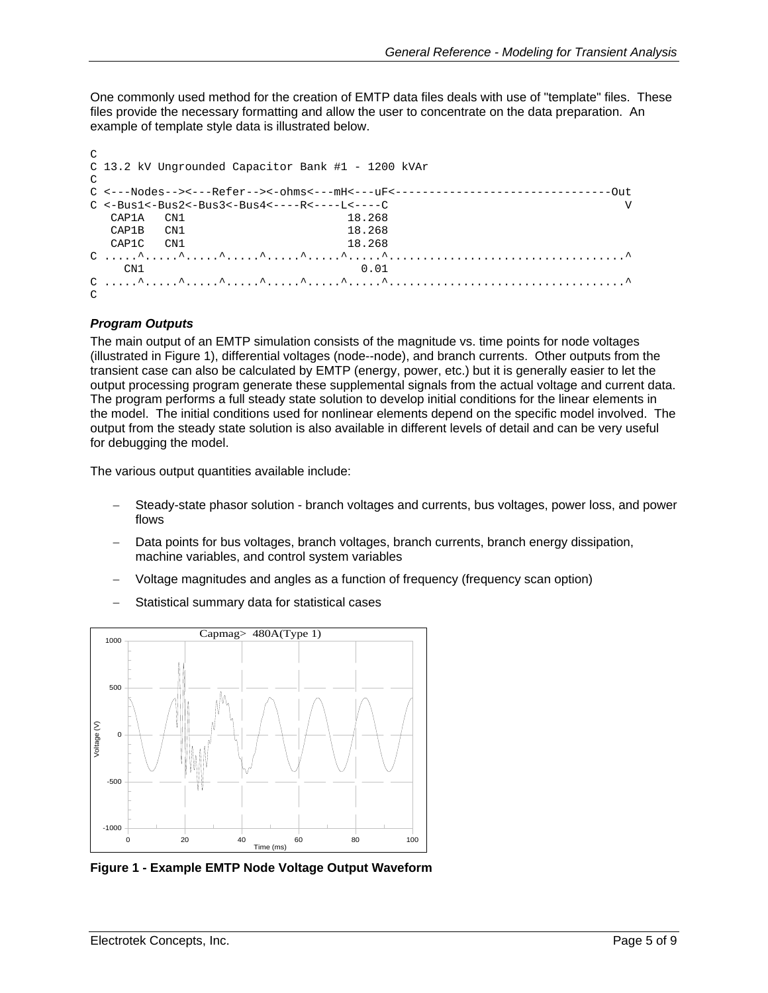<span id="page-4-0"></span>One commonly used method for the creation of EMTP data files deals with use of "template" files. These files provide the necessary formatting and allow the user to concentrate on the data preparation. An example of template style data is illustrated below.

```
C 
C 13.2 kV Ungrounded Capacitor Bank #1 - 1200 kVAr 
\mathcal{C}C <---Nodes--><---Refer--><-ohms<---mH<---uF<--------------------------------Out 
C < -Bus1 < -Bus2 < -Bus3 < -Bus4 < - - - -R < - - - -CCAP1A CN1 18.268<br>
CAP1R CN1 18.268
  CAP1B CN1 18.268
  CAP1C CN1 18.268
C .....^.....^.....^.....^.....^.....^.....^...................................^ 
CN1 0.01
C .....^.....^.....^.....^.....^.....^.....^...................................^ 
\overline{C}
```
#### *Program Outputs*

The main output of an EMTP simulation consists of the magnitude vs. time points for node voltages (illustrated in [Figure 1\)](#page-4-1), differential voltages (node--node), and branch currents. Other outputs from the transient case can also be calculated by EMTP (energy, power, etc.) but it is generally easier to let the output processing program generate these supplemental signals from the actual voltage and current data. The program performs a full steady state solution to develop initial conditions for the linear elements in the model. The initial conditions used for nonlinear elements depend on the specific model involved. The output from the steady state solution is also available in different levels of detail and can be very useful for debugging the model.

The various output quantities available include:

- Steady-state phasor solution branch voltages and currents, bus voltages, power loss, and power flows
- Data points for bus voltages, branch voltages, branch currents, branch energy dissipation, machine variables, and control system variables
- − Voltage magnitudes and angles as a function of frequency (frequency scan option)
- Statistical summary data for statistical cases

<span id="page-4-1"></span>

**Figure 1 - Example EMTP Node Voltage Output Waveform**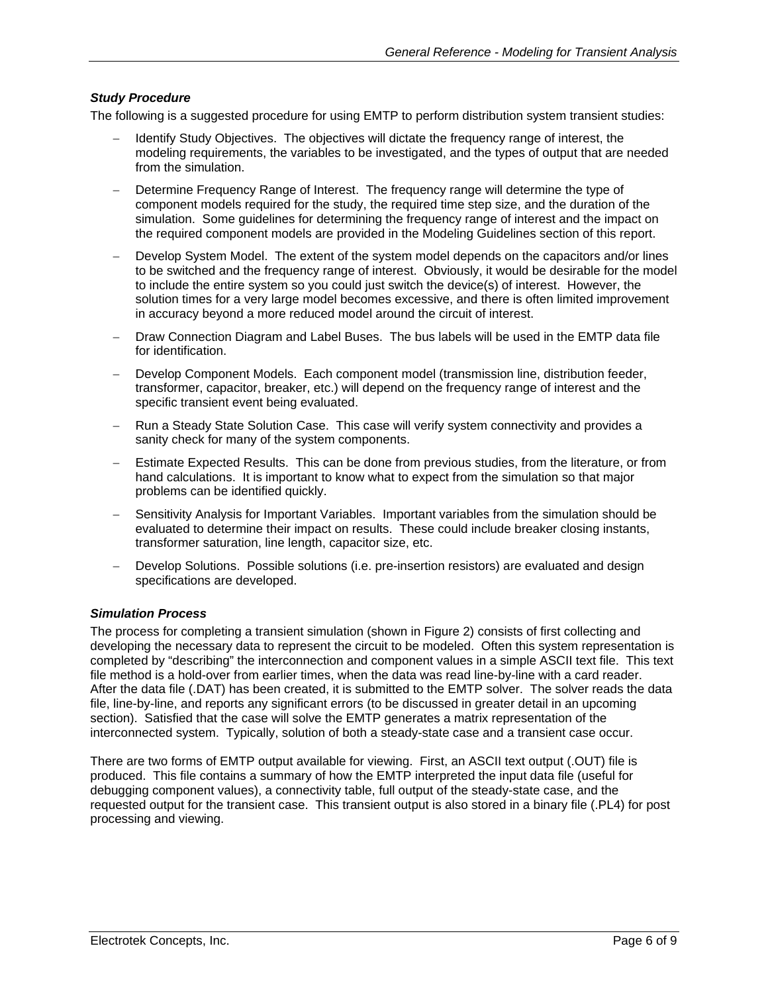#### <span id="page-5-0"></span>*Study Procedure*

The following is a suggested procedure for using EMTP to perform distribution system transient studies:

- Identify Study Objectives. The objectives will dictate the frequency range of interest, the modeling requirements, the variables to be investigated, and the types of output that are needed from the simulation.
- Determine Frequency Range of Interest. The frequency range will determine the type of component models required for the study, the required time step size, and the duration of the simulation. Some guidelines for determining the frequency range of interest and the impact on the required component models are provided in the Modeling Guidelines section of this report.
- Develop System Model. The extent of the system model depends on the capacitors and/or lines to be switched and the frequency range of interest. Obviously, it would be desirable for the model to include the entire system so you could just switch the device(s) of interest. However, the solution times for a very large model becomes excessive, and there is often limited improvement in accuracy beyond a more reduced model around the circuit of interest.
- Draw Connection Diagram and Label Buses. The bus labels will be used in the EMTP data file for identification.
- − Develop Component Models. Each component model (transmission line, distribution feeder, transformer, capacitor, breaker, etc.) will depend on the frequency range of interest and the specific transient event being evaluated.
- Run a Steady State Solution Case. This case will verify system connectivity and provides a sanity check for many of the system components.
- Estimate Expected Results. This can be done from previous studies, from the literature, or from hand calculations. It is important to know what to expect from the simulation so that major problems can be identified quickly.
- − Sensitivity Analysis for Important Variables. Important variables from the simulation should be evaluated to determine their impact on results. These could include breaker closing instants, transformer saturation, line length, capacitor size, etc.
- − Develop Solutions. Possible solutions (i.e. pre-insertion resistors) are evaluated and design specifications are developed.

#### *Simulation Process*

The process for completing a transient simulation (shown in [Figure 2\)](#page-6-1) consists of first collecting and developing the necessary data to represent the circuit to be modeled. Often this system representation is completed by "describing" the interconnection and component values in a simple ASCII text file. This text file method is a hold-over from earlier times, when the data was read line-by-line with a card reader. After the data file (.DAT) has been created, it is submitted to the EMTP solver. The solver reads the data file, line-by-line, and reports any significant errors (to be discussed in greater detail in an upcoming section). Satisfied that the case will solve the EMTP generates a matrix representation of the interconnected system. Typically, solution of both a steady-state case and a transient case occur.

There are two forms of EMTP output available for viewing. First, an ASCII text output (.OUT) file is produced. This file contains a summary of how the EMTP interpreted the input data file (useful for debugging component values), a connectivity table, full output of the steady-state case, and the requested output for the transient case. This transient output is also stored in a binary file (.PL4) for post processing and viewing.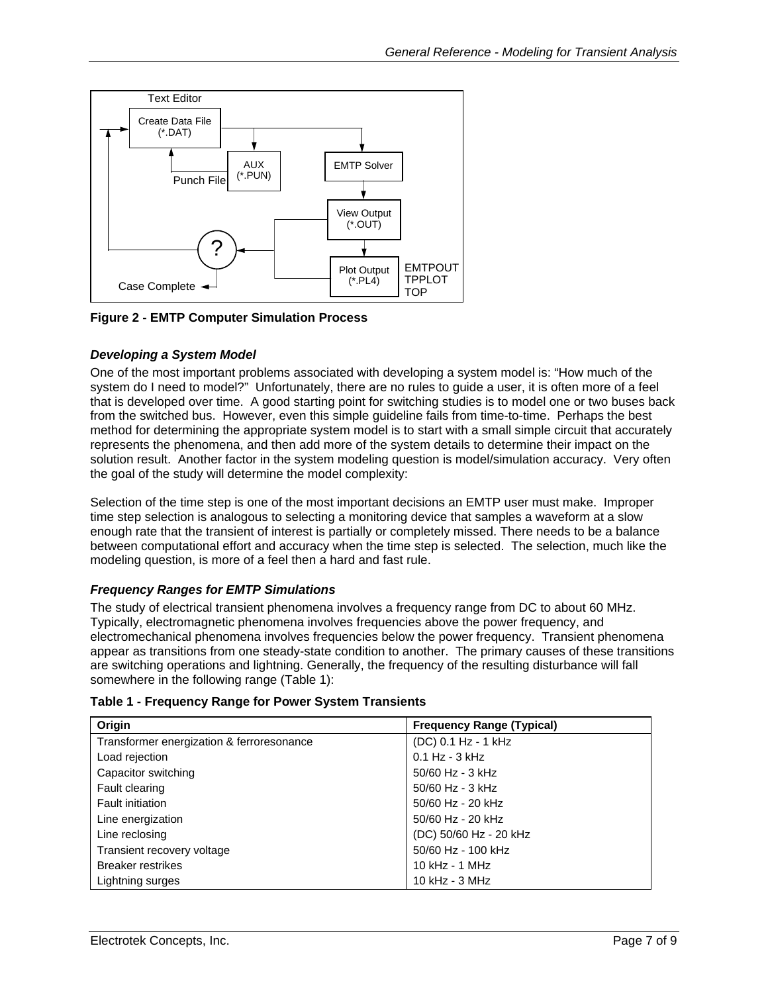<span id="page-6-1"></span><span id="page-6-0"></span>

**Figure 2 - EMTP Computer Simulation Process** 

#### *Developing a System Model*

One of the most important problems associated with developing a system model is: "How much of the system do I need to model?" Unfortunately, there are no rules to guide a user, it is often more of a feel that is developed over time. A good starting point for switching studies is to model one or two buses back from the switched bus. However, even this simple guideline fails from time-to-time. Perhaps the best method for determining the appropriate system model is to start with a small simple circuit that accurately represents the phenomena, and then add more of the system details to determine their impact on the solution result. Another factor in the system modeling question is model/simulation accuracy. Very often the goal of the study will determine the model complexity:

Selection of the time step is one of the most important decisions an EMTP user must make. Improper time step selection is analogous to selecting a monitoring device that samples a waveform at a slow enough rate that the transient of interest is partially or completely missed. There needs to be a balance between computational effort and accuracy when the time step is selected. The selection, much like the modeling question, is more of a feel then a hard and fast rule.

#### *Frequency Ranges for EMTP Simulations*

The study of electrical transient phenomena involves a frequency range from DC to about 60 MHz. Typically, electromagnetic phenomena involves frequencies above the power frequency, and electromechanical phenomena involves frequencies below the power frequency. Transient phenomena appear as transitions from one steady-state condition to another. The primary causes of these transitions are switching operations and lightning. Generally, the frequency of the resulting disturbance will fall somewhere in the following range [\(Table 1\)](#page-6-2):

| Origin                                    | <b>Frequency Range (Typical)</b> |
|-------------------------------------------|----------------------------------|
| Transformer energization & ferroresonance | (DC) 0.1 Hz - 1 kHz              |
| Load rejection                            | $0.1$ Hz - $3$ kHz               |
| Capacitor switching                       | $50/60$ Hz - 3 kHz               |
| Fault clearing                            | 50/60 Hz - 3 kHz                 |
| Fault initiation                          | 50/60 Hz - 20 kHz                |
| Line energization                         | 50/60 Hz - 20 kHz                |
| Line reclosing                            | (DC) 50/60 Hz - 20 kHz           |
| Transient recovery voltage                | 50/60 Hz - 100 kHz               |
| <b>Breaker restrikes</b>                  | $10$ kHz - 1 MHz                 |
| Lightning surges                          | 10 kHz - 3 MHz                   |

#### <span id="page-6-2"></span>**Table 1 - Frequency Range for Power System Transients**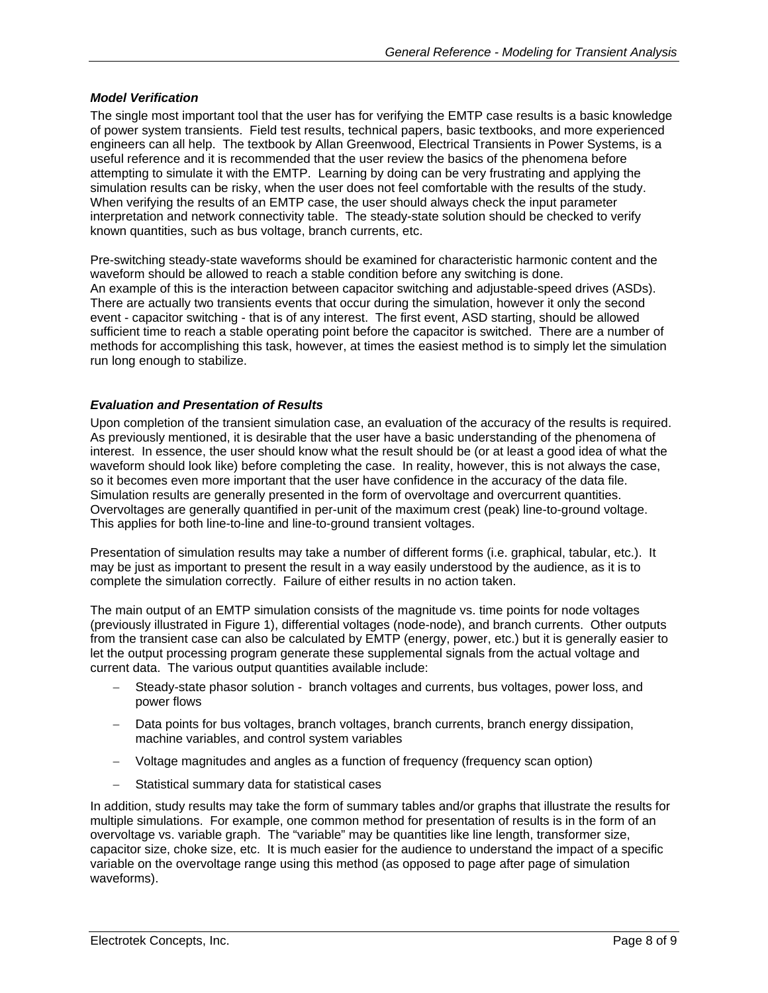#### <span id="page-7-0"></span>*Model Verification*

The single most important tool that the user has for verifying the EMTP case results is a basic knowledge of power system transients. Field test results, technical papers, basic textbooks, and more experienced engineers can all help. The textbook by Allan Greenwood, Electrical Transients in Power Systems, is a useful reference and it is recommended that the user review the basics of the phenomena before attempting to simulate it with the EMTP. Learning by doing can be very frustrating and applying the simulation results can be risky, when the user does not feel comfortable with the results of the study. When verifying the results of an EMTP case, the user should always check the input parameter interpretation and network connectivity table. The steady-state solution should be checked to verify known quantities, such as bus voltage, branch currents, etc.

Pre-switching steady-state waveforms should be examined for characteristic harmonic content and the waveform should be allowed to reach a stable condition before any switching is done. An example of this is the interaction between capacitor switching and adjustable-speed drives (ASDs). There are actually two transients events that occur during the simulation, however it only the second event - capacitor switching - that is of any interest. The first event, ASD starting, should be allowed sufficient time to reach a stable operating point before the capacitor is switched. There are a number of methods for accomplishing this task, however, at times the easiest method is to simply let the simulation run long enough to stabilize.

#### *Evaluation and Presentation of Results*

Upon completion of the transient simulation case, an evaluation of the accuracy of the results is required. As previously mentioned, it is desirable that the user have a basic understanding of the phenomena of interest. In essence, the user should know what the result should be (or at least a good idea of what the waveform should look like) before completing the case. In reality, however, this is not always the case, so it becomes even more important that the user have confidence in the accuracy of the data file. Simulation results are generally presented in the form of overvoltage and overcurrent quantities. Overvoltages are generally quantified in per-unit of the maximum crest (peak) line-to-ground voltage. This applies for both line-to-line and line-to-ground transient voltages.

Presentation of simulation results may take a number of different forms (i.e. graphical, tabular, etc.). It may be just as important to present the result in a way easily understood by the audience, as it is to complete the simulation correctly. Failure of either results in no action taken.

The main output of an EMTP simulation consists of the magnitude vs. time points for node voltages (previously illustrated in [Figure 1\)](#page-4-1), differential voltages (node-node), and branch currents. Other outputs from the transient case can also be calculated by EMTP (energy, power, etc.) but it is generally easier to let the output processing program generate these supplemental signals from the actual voltage and current data. The various output quantities available include:

- Steady-state phasor solution branch voltages and currents, bus voltages, power loss, and power flows
- Data points for bus voltages, branch voltages, branch currents, branch energy dissipation, machine variables, and control system variables
- − Voltage magnitudes and angles as a function of frequency (frequency scan option)
- − Statistical summary data for statistical cases

In addition, study results may take the form of summary tables and/or graphs that illustrate the results for multiple simulations. For example, one common method for presentation of results is in the form of an overvoltage vs. variable graph. The "variable" may be quantities like line length, transformer size, capacitor size, choke size, etc. It is much easier for the audience to understand the impact of a specific variable on the overvoltage range using this method (as opposed to page after page of simulation waveforms).